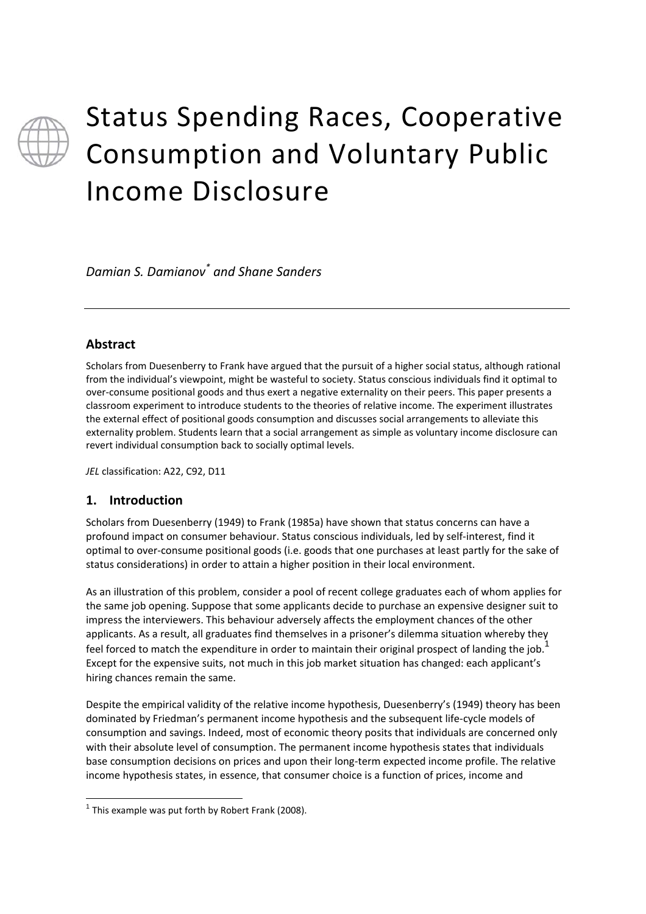

# Status Spending Races, Cooperative Consumption and Voluntary Public Income Disclosure

*Damian S. Damianov\* and Shane Sanders*

# **Abstract**

Scholars from Duesenberry to Frank have argued that the pursuit of a higher social status, although rational from the individual's viewpoint, might be wasteful to society. Status conscious individuals find it optimal to over‐consume positional goods and thus exert a negative externality on their peers. This paper presents a classroom experiment to introduce students to the theories of relative income. The experiment illustrates the external effect of positional goods consumption and discusses social arrangements to alleviate this externality problem. Students learn that a social arrangement as simple as voluntary income disclosure can revert individual consumption back to socially optimal levels.

*JEL* classification: A22, C92, D11

#### **1. Introduction**

Scholars from Duesenberry (1949) to Frank (1985a) have shown that status concerns can have a profound impact on consumer behaviour. Status conscious individuals, led by self‐interest, find it optimal to over‐consume positional goods (i.e. goods that one purchases at least partly for the sake of status considerations) in order to attain a higher position in their local environment.

As an illustration of this problem, consider a pool of recent college graduates each of whom applies for the same job opening. Suppose that some applicants decide to purchase an expensive designer suit to impress the interviewers. This behaviour adversely affects the employment chances of the other applicants. As a result, all graduates find themselves in a prisoner's dilemma situation whereby they feel forced to match the expenditure in order to maintain their original prospect of landing the job.<sup>1</sup> Except for the expensive suits, not much in this job market situation has changed: each applicant's hiring chances remain the same.

Despite the empirical validity of the relative income hypothesis, Duesenberry's (1949) theory has been dominated by Friedman's permanent income hypothesis and the subsequent life‐cycle models of consumption and savings. Indeed, most of economic theory posits that individuals are concerned only with their absolute level of consumption. The permanent income hypothesis states that individuals base consumption decisions on prices and upon their long‐term expected income profile. The relative income hypothesis states, in essence, that consumer choice is a function of prices, income and

 $1$  This example was put forth by Robert Frank (2008).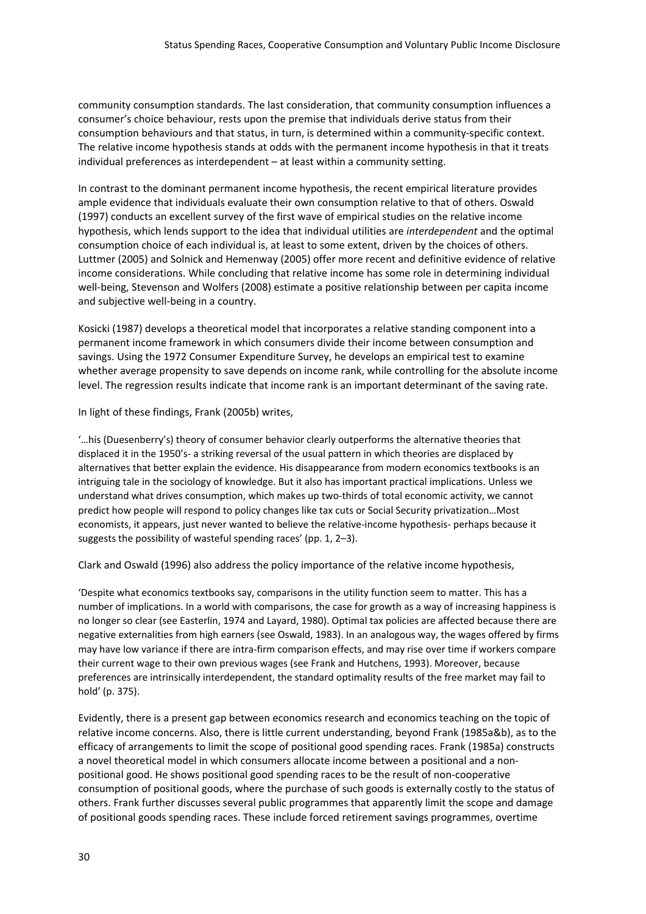community consumption standards. The last consideration, that community consumption influences a consumer's choice behaviour, rests upon the premise that individuals derive status from their consumption behaviours and that status, in turn, is determined within a community‐specific context. The relative income hypothesis stands at odds with the permanent income hypothesis in that it treats individual preferences as interdependent – at least within a community setting.

In contrast to the dominant permanent income hypothesis, the recent empirical literature provides ample evidence that individuals evaluate their own consumption relative to that of others. Oswald (1997) conducts an excellent survey of the first wave of empirical studies on the relative income hypothesis, which lends support to the idea that individual utilities are *interdependent* and the optimal consumption choice of each individual is, at least to some extent, driven by the choices of others. Luttmer (2005) and Solnick and Hemenway (2005) offer more recent and definitive evidence of relative income considerations. While concluding that relative income has some role in determining individual well‐being, Stevenson and Wolfers (2008) estimate a positive relationship between per capita income and subjective well‐being in a country.

Kosicki (1987) develops a theoretical model that incorporates a relative standing component into a permanent income framework in which consumers divide their income between consumption and savings. Using the 1972 Consumer Expenditure Survey, he develops an empirical test to examine whether average propensity to save depends on income rank, while controlling for the absolute income level. The regression results indicate that income rank is an important determinant of the saving rate.

In light of these findings, Frank (2005b) writes,

'…his (Duesenberry's) theory of consumer behavior clearly outperforms the alternative theories that displaced it in the 1950's‐ a striking reversal of the usual pattern in which theories are displaced by alternatives that better explain the evidence. His disappearance from modern economics textbooks is an intriguing tale in the sociology of knowledge. But it also has important practical implications. Unless we understand what drives consumption, which makes up two‐thirds of total economic activity, we cannot predict how people will respond to policy changes like tax cuts or Social Security privatization…Most economists, it appears, just never wanted to believe the relative‐income hypothesis‐ perhaps because it suggests the possibility of wasteful spending races' (pp. 1, 2–3).

Clark and Oswald (1996) also address the policy importance of the relative income hypothesis,

'Despite what economics textbooks say, comparisons in the utility function seem to matter. This has a number of implications. In a world with comparisons, the case for growth as a way of increasing happiness is no longer so clear (see Easterlin, 1974 and Layard, 1980). Optimal tax policies are affected because there are negative externalities from high earners (see Oswald, 1983). In an analogous way, the wages offered by firms may have low variance if there are intra‐firm comparison effects, and may rise over time if workers compare their current wage to their own previous wages (see Frank and Hutchens, 1993). Moreover, because preferences are intrinsically interdependent, the standard optimality results of the free market may fail to hold' (p. 375).

Evidently, there is a present gap between economics research and economics teaching on the topic of relative income concerns. Also, there is little current understanding, beyond Frank (1985a&b), as to the efficacy of arrangements to limit the scope of positional good spending races. Frank (1985a) constructs a novel theoretical model in which consumers allocate income between a positional and a non‐ positional good. He shows positional good spending races to be the result of non‐cooperative consumption of positional goods, where the purchase of such goods is externally costly to the status of others. Frank further discusses several public programmes that apparently limit the scope and damage of positional goods spending races. These include forced retirement savings programmes, overtime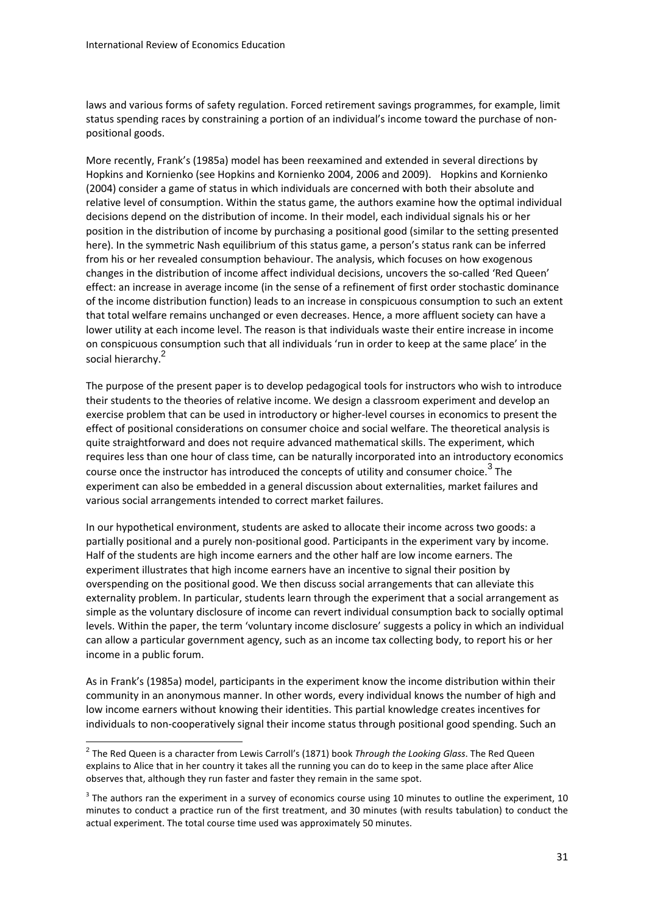laws and various forms of safety regulation. Forced retirement savings programmes, for example, limit status spending races by constraining a portion of an individual's income toward the purchase of non‐ positional goods.

More recently, Frank's (1985a) model has been reexamined and extended in several directions by Hopkins and Kornienko (see Hopkins and Kornienko 2004, 2006 and 2009). Hopkins and Kornienko (2004) consider a game of status in which individuals are concerned with both their absolute and relative level of consumption. Within the status game, the authors examine how the optimal individual decisions depend on the distribution of income. In their model, each individual signals his or her position in the distribution of income by purchasing a positional good (similar to the setting presented here). In the symmetric Nash equilibrium of this status game, a person's status rank can be inferred from his or her revealed consumption behaviour. The analysis, which focuses on how exogenous changes in the distribution of income affect individual decisions, uncovers the so-called 'Red Queen' effect: an increase in average income (in the sense of a refinement of first order stochastic dominance of the income distribution function) leads to an increase in conspicuous consumption to such an extent that total welfare remains unchanged or even decreases. Hence, a more affluent society can have a lower utility at each income level. The reason is that individuals waste their entire increase in income on conspicuous consumption such that all individuals 'run in order to keep at the same place' in the social hierarchy.<sup>2</sup>

The purpose of the present paper is to develop pedagogical tools for instructors who wish to introduce their students to the theories of relative income. We design a classroom experiment and develop an exercise problem that can be used in introductory or higher‐level courses in economics to present the effect of positional considerations on consumer choice and social welfare. The theoretical analysis is quite straightforward and does not require advanced mathematical skills. The experiment, which requires less than one hour of class time, can be naturally incorporated into an introductory economics course once the instructor has introduced the concepts of utility and consumer choice. $3$  The experiment can also be embedded in a general discussion about externalities, market failures and various social arrangements intended to correct market failures.

In our hypothetical environment, students are asked to allocate their income across two goods: a partially positional and a purely non-positional good. Participants in the experiment vary by income. Half of the students are high income earners and the other half are low income earners. The experiment illustrates that high income earners have an incentive to signal their position by overspending on the positional good. We then discuss social arrangements that can alleviate this externality problem. In particular, students learn through the experiment that a social arrangement as simple as the voluntary disclosure of income can revert individual consumption back to socially optimal levels. Within the paper, the term 'voluntary income disclosure' suggests a policy in which an individual can allow a particular government agency, such as an income tax collecting body, to report his or her income in a public forum.

As in Frank's (1985a) model, participants in the experiment know the income distribution within their community in an anonymous manner. In other words, every individual knows the number of high and low income earners without knowing their identities. This partial knowledge creates incentives for individuals to non‐cooperatively signal their income status through positional good spending. Such an

 $\overline{a}$ 

<sup>2</sup> The Red Queen is a character from Lewis Carroll's (1871) book *Through the Looking Glass*. The Red Queen explains to Alice that in her country it takes all the running you can do to keep in the same place after Alice observes that, although they run faster and faster they remain in the same spot.

 $3$  The authors ran the experiment in a survey of economics course using 10 minutes to outline the experiment, 10 minutes to conduct a practice run of the first treatment, and 30 minutes (with results tabulation) to conduct the actual experiment. The total course time used was approximately 50 minutes.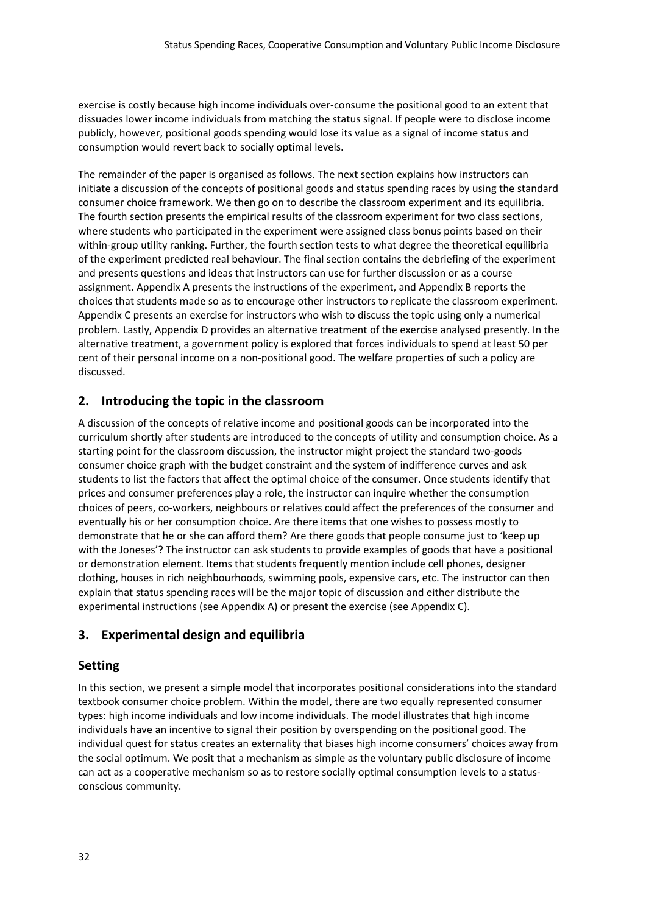exercise is costly because high income individuals over‐consume the positional good to an extent that dissuades lower income individuals from matching the status signal. If people were to disclose income publicly, however, positional goods spending would lose its value as a signal of income status and consumption would revert back to socially optimal levels.

The remainder of the paper is organised as follows. The next section explains how instructors can initiate a discussion of the concepts of positional goods and status spending races by using the standard consumer choice framework. We then go on to describe the classroom experiment and its equilibria. The fourth section presents the empirical results of the classroom experiment for two class sections, where students who participated in the experiment were assigned class bonus points based on their within-group utility ranking. Further, the fourth section tests to what degree the theoretical equilibria of the experiment predicted real behaviour. The final section contains the debriefing of the experiment and presents questions and ideas that instructors can use for further discussion or as a course assignment. Appendix A presents the instructions of the experiment, and Appendix B reports the choices that students made so as to encourage other instructors to replicate the classroom experiment. Appendix C presents an exercise for instructors who wish to discuss the topic using only a numerical problem. Lastly, Appendix D provides an alternative treatment of the exercise analysed presently. In the alternative treatment, a government policy is explored that forces individuals to spend at least 50 per cent of their personal income on a non-positional good. The welfare properties of such a policy are discussed.

# **2. Introducing the topic in the classroom**

A discussion of the concepts of relative income and positional goods can be incorporated into the curriculum shortly after students are introduced to the concepts of utility and consumption choice. As a starting point for the classroom discussion, the instructor might project the standard two‐goods consumer choice graph with the budget constraint and the system of indifference curves and ask students to list the factors that affect the optimal choice of the consumer. Once students identify that prices and consumer preferences play a role, the instructor can inquire whether the consumption choices of peers, co‐workers, neighbours or relatives could affect the preferences of the consumer and eventually his or her consumption choice. Are there items that one wishes to possess mostly to demonstrate that he or she can afford them? Are there goods that people consume just to 'keep up with the Joneses'? The instructor can ask students to provide examples of goods that have a positional or demonstration element. Items that students frequently mention include cell phones, designer clothing, houses in rich neighbourhoods, swimming pools, expensive cars, etc. The instructor can then explain that status spending races will be the major topic of discussion and either distribute the experimental instructions (see Appendix A) or present the exercise (see Appendix C).

# **3. Experimental design and equilibria**

# **Setting**

In this section, we present a simple model that incorporates positional considerations into the standard textbook consumer choice problem. Within the model, there are two equally represented consumer types: high income individuals and low income individuals. The model illustrates that high income individuals have an incentive to signal their position by overspending on the positional good. The individual quest for status creates an externality that biases high income consumers' choices away from the social optimum. We posit that a mechanism as simple as the voluntary public disclosure of income can act as a cooperative mechanism so as to restore socially optimal consumption levels to a statusconscious community.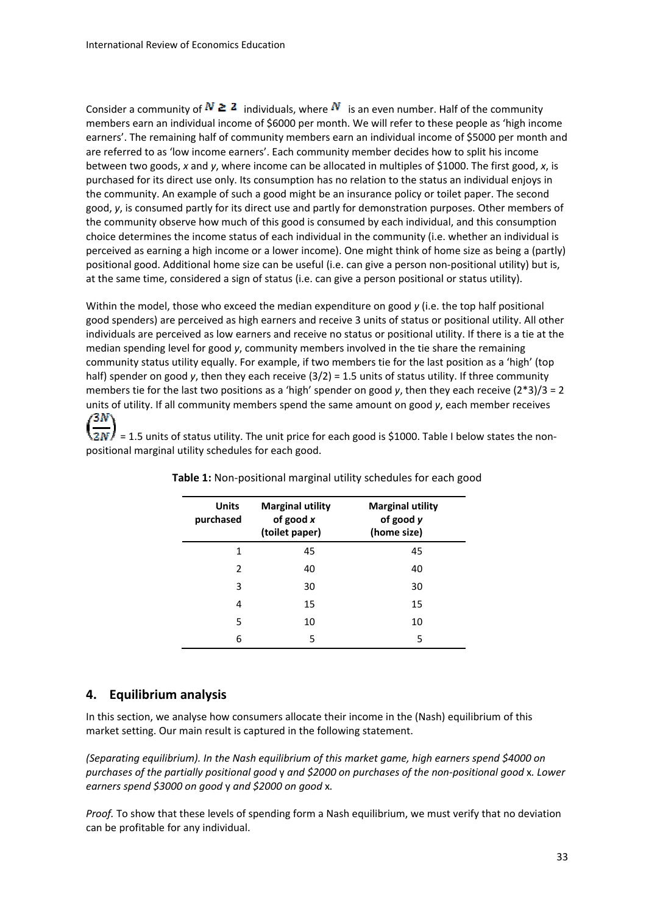Consider a community of  $N \geq 2$  individuals, where  $N$  is an even number. Half of the community members earn an individual income of \$6000 per month. We will refer to these people as 'high income earners'. The remaining half of community members earn an individual income of \$5000 per month and are referred to as 'low income earners'. Each community member decides how to split his income between two goods, *x* and *y*, where income can be allocated in multiples of \$1000. The first good, *x*, is purchased for its direct use only. Its consumption has no relation to the status an individual enjoys in the community. An example of such a good might be an insurance policy or toilet paper. The second good, *y*, is consumed partly for its direct use and partly for demonstration purposes. Other members of the community observe how much of this good is consumed by each individual, and this consumption choice determines the income status of each individual in the community (i.e. whether an individual is perceived as earning a high income or a lower income). One might think of home size as being a (partly) positional good. Additional home size can be useful (i.e. can give a person non-positional utility) but is, at the same time, considered a sign of status (i.e. can give a person positional or status utility).

Within the model, those who exceed the median expenditure on good *y* (i.e. the top half positional good spenders) are perceived as high earners and receive 3 units of status or positional utility. All other individuals are perceived as low earners and receive no status or positional utility. If there is a tie at the median spending level for good *y*, community members involved in the tie share the remaining community status utility equally. For example, if two members tie for the last position as a 'high' (top half) spender on good *y*, then they each receive (3/2) = 1.5 units of status utility. If three community members tie for the last two positions as a 'high' spender on good *y*, then they each receive (2\*3)/3 = 2 units of utility. If all community members spend the same amount on good *y*, each member receives 3N

 $\langle 2N \rangle$  = 1.5 units of status utility. The unit price for each good is \$1000. Table I below states the nonpositional marginal utility schedules for each good.

| <b>Units</b><br>purchased | <b>Marginal utility</b><br>of good $x$<br>(toilet paper) | <b>Marginal utility</b><br>of good y<br>(home size) |
|---------------------------|----------------------------------------------------------|-----------------------------------------------------|
| 1                         | 45                                                       | 45                                                  |
| $\mathcal{P}$             | 40                                                       | 40                                                  |
| 3                         | 30                                                       | 30                                                  |
| 4                         | 15                                                       | 15                                                  |
| 5                         | 10                                                       | 10                                                  |
| 6                         | 5                                                        | 5                                                   |

#### **Table 1:** Non‐positional marginal utility schedules for each good

#### **4. Equilibrium analysis**

In this section, we analyse how consumers allocate their income in the (Nash) equilibrium of this market setting. Our main result is captured in the following statement.

*(Separating equilibrium). In the Nash equilibrium of this market game, high earners spend \$4000 on* purchases of the partially positional good y and \$2000 on purchases of the non-positional good x. Lower *earners spend \$3000 on good* y *and \$2000 on good* x*.*

*Proof.* To show that these levels of spending form a Nash equilibrium, we must verify that no deviation can be profitable for any individual.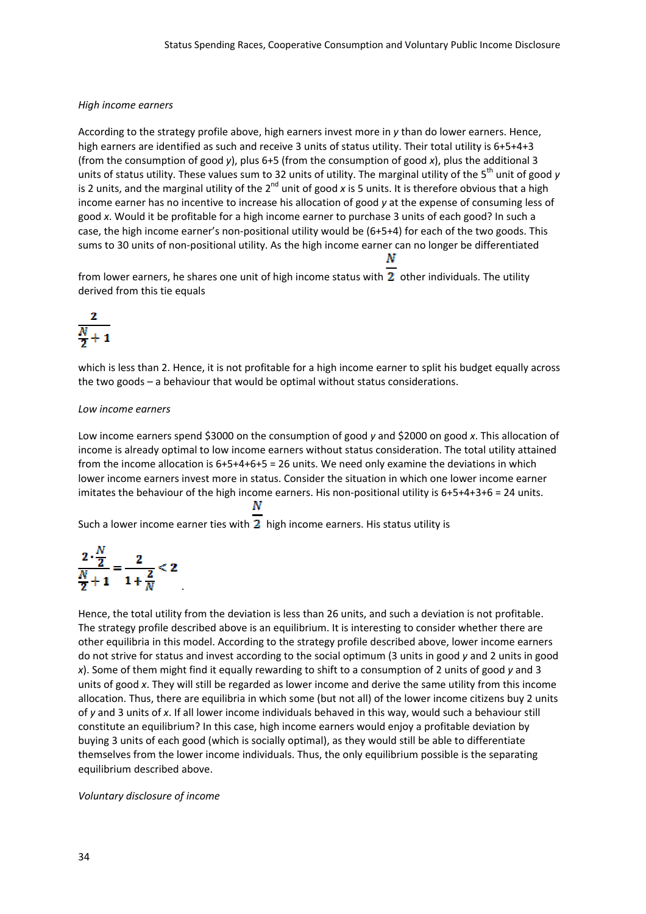#### *High income earners*

According to the strategy profile above, high earners invest more in *y* than do lower earners. Hence, high earners are identified as such and receive 3 units of status utility. Their total utility is 6+5+4+3 (from the consumption of good *y*), plus 6+5 (from the consumption of good *x*), plus the additional 3 units of status utility. These values sum to 32 units of utility. The marginal utility of the 5<sup>th</sup> unit of good y is 2 units, and the marginal utility of the 2<sup>nd</sup> unit of good x is 5 units. It is therefore obvious that a high income earner has no incentive to increase his allocation of good *y* at the expense of consuming less of good *x*. Would it be profitable for a high income earner to purchase 3 units of each good? In such a case, the high income earner's non‐positional utility would be (6+5+4) for each of the two goods. This sums to 30 units of non‐positional utility. As the high income earner can no longer be differentiated

from lower earners, he shares one unit of high income status with  $2$  other individuals. The utility derived from this tie equals



which is less than 2. Hence, it is not profitable for a high income earner to split his budget equally across the two goods – a behaviour that would be optimal without status considerations.

#### *Low income earners*

Low income earners spend \$3000 on the consumption of good *y* and \$2000 on good *x*. This allocation of income is already optimal to low income earners without status consideration. The total utility attained from the income allocation is 6+5+4+6+5 = 26 units. We need only examine the deviations in which lower income earners invest more in status. Consider the situation in which one lower income earner imitates the behaviour of the high income earners. His non-positional utility is 6+5+4+3+6 = 24 units. Ν

Such a lower income earner ties with  $\overline{2}$  high income earners. His status utility is

$$
\frac{2\cdot\frac{N}{2}}{\frac{N}{2}+1}=\frac{2}{1+\frac{2}{N}}<2
$$

.

Hence, the total utility from the deviation is less than 26 units, and such a deviation is not profitable. The strategy profile described above is an equilibrium. It is interesting to consider whether there are other equilibria in this model. According to the strategy profile described above, lower income earners do not strive for status and invest according to the social optimum (3 units in good *y* and 2 units in good *x*). Some of them might find it equally rewarding to shift to a consumption of 2 units of good *y* and 3 units of good *x*. They will still be regarded as lower income and derive the same utility from this income allocation. Thus, there are equilibria in which some (but not all) of the lower income citizens buy 2 units of *y* and 3 units of *x*. If all lower income individuals behaved in this way, would such a behaviour still constitute an equilibrium? In this case, high income earners would enjoy a profitable deviation by buying 3 units of each good (which is socially optimal), as they would still be able to differentiate themselves from the lower income individuals. Thus, the only equilibrium possible is the separating equilibrium described above.

*Voluntary disclosure of income*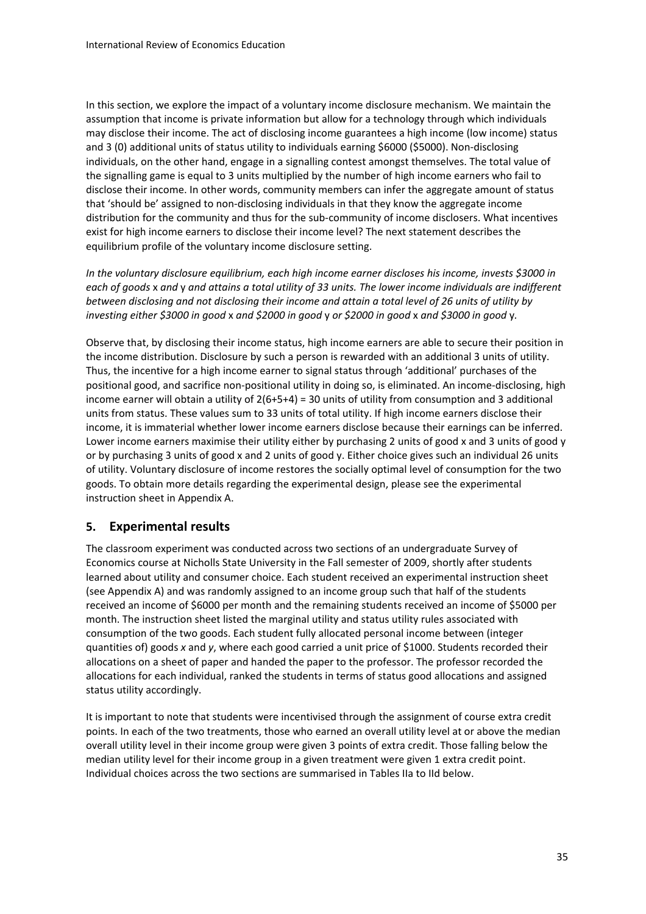In this section, we explore the impact of a voluntary income disclosure mechanism. We maintain the assumption that income is private information but allow for a technology through which individuals may disclose their income. The act of disclosing income guarantees a high income (low income) status and 3 (0) additional units of status utility to individuals earning \$6000 (\$5000). Non‐disclosing individuals, on the other hand, engage in a signalling contest amongst themselves. The total value of the signalling game is equal to 3 units multiplied by the number of high income earners who fail to disclose their income. In other words, community members can infer the aggregate amount of status that 'should be' assigned to non‐disclosing individuals in that they know the aggregate income distribution for the community and thus for the sub‐community of income disclosers. What incentives exist for high income earners to disclose their income level? The next statement describes the equilibrium profile of the voluntary income disclosure setting.

*In the voluntary disclosure equilibrium, each high income earner discloses his income, invests \$3000 in* each of goods x and y and attains a total utility of 33 units. The lower income individuals are indifferent between disclosing and not disclosing their income and attain a total level of 26 units of utility by *investing either \$3000 in good* x *and \$2000 in good* y *or \$2000 in good* x *and \$3000 in good* y*.*

Observe that, by disclosing their income status, high income earners are able to secure their position in the income distribution. Disclosure by such a person is rewarded with an additional 3 units of utility. Thus, the incentive for a high income earner to signal status through 'additional' purchases of the positional good, and sacrifice non-positional utility in doing so, is eliminated. An income-disclosing, high income earner will obtain a utility of 2(6+5+4) = 30 units of utility from consumption and 3 additional units from status. These values sum to 33 units of total utility. If high income earners disclose their income, it is immaterial whether lower income earners disclose because their earnings can be inferred. Lower income earners maximise their utility either by purchasing 2 units of good x and 3 units of good y or by purchasing 3 units of good x and 2 units of good y. Either choice gives such an individual 26 units of utility. Voluntary disclosure of income restores the socially optimal level of consumption for the two goods. To obtain more details regarding the experimental design, please see the experimental instruction sheet in Appendix A.

# **5. Experimental results**

The classroom experiment was conducted across two sections of an undergraduate Survey of Economics course at Nicholls State University in the Fall semester of 2009, shortly after students learned about utility and consumer choice. Each student received an experimental instruction sheet (see Appendix A) and was randomly assigned to an income group such that half of the students received an income of \$6000 per month and the remaining students received an income of \$5000 per month. The instruction sheet listed the marginal utility and status utility rules associated with consumption of the two goods. Each student fully allocated personal income between (integer quantities of) goods *x* and *y*, where each good carried a unit price of \$1000. Students recorded their allocations on a sheet of paper and handed the paper to the professor. The professor recorded the allocations for each individual, ranked the students in terms of status good allocations and assigned status utility accordingly.

It is important to note that students were incentivised through the assignment of course extra credit points. In each of the two treatments, those who earned an overall utility level at or above the median overall utility level in their income group were given 3 points of extra credit. Those falling below the median utility level for their income group in a given treatment were given 1 extra credit point. Individual choices across the two sections are summarised in Tables IIa to IId below.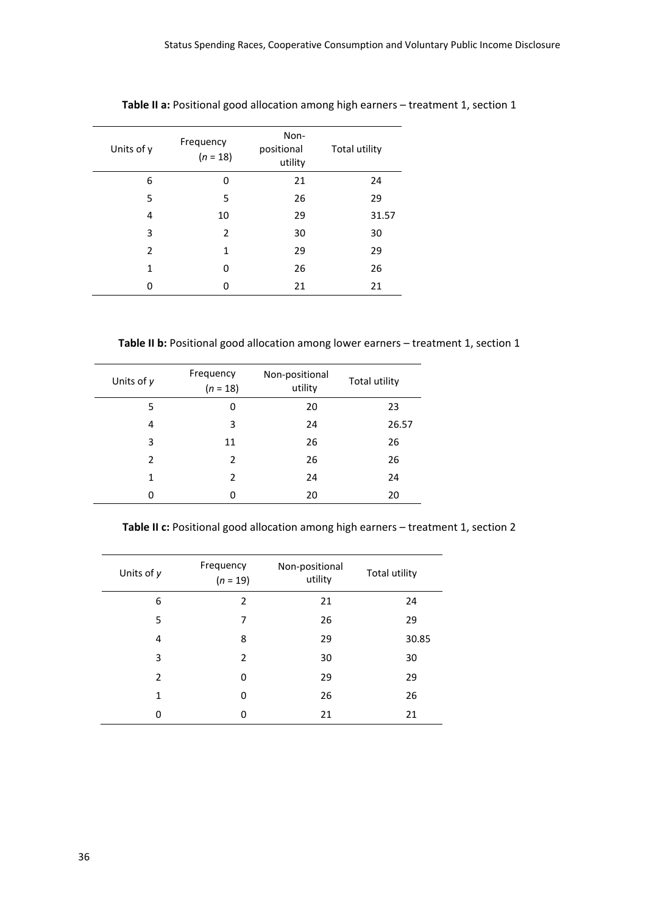| Units of y     | Frequency<br>$(n = 18)$ | Non-<br>positional<br>utility | Total utility |
|----------------|-------------------------|-------------------------------|---------------|
| 6              | 0                       | 21                            | 24            |
| 5              | 5                       | 26                            | 29            |
| 4              | 10                      | 29                            | 31.57         |
| 3              | 2                       | 30                            | 30            |
| $\overline{2}$ | 1                       | 29                            | 29            |
| 1              | 0                       | 26                            | 26            |
| 0              | 0                       | 21                            | 21            |

**Table II a:** Positional good allocation among high earners – treatment 1, section 1

#### **Table II b:** Positional good allocation among lower earners – treatment 1, section 1

| Units of $y$   | Frequency<br>$(n = 18)$ | Non-positional<br>utility | Total utility |
|----------------|-------------------------|---------------------------|---------------|
| 5              | 0                       | 20                        | 23            |
| 4              | 3                       | 24                        | 26.57         |
| 3              | 11                      | 26                        | 26            |
| $\overline{2}$ | $\overline{2}$          | 26                        | 26            |
| 1              | $\overline{2}$          | 24                        | 24            |
| 0              | ŋ                       | 20                        | 20            |

#### **Table II c:** Positional good allocation among high earners – treatment 1, section 2

| Units of $y$   | Frequency<br>$(n = 19)$ | Non-positional<br>utility | <b>Total utility</b> |
|----------------|-------------------------|---------------------------|----------------------|
| 6              | 2                       | 21                        | 24                   |
| 5              | 7                       | 26                        | 29                   |
| 4              | 8                       | 29                        | 30.85                |
| 3              | $\overline{2}$          | 30                        | 30                   |
| $\overline{2}$ | 0                       | 29                        | 29                   |
| $\mathbf{1}$   | 0                       | 26                        | 26                   |
| 0              | 0                       | 21                        | 21                   |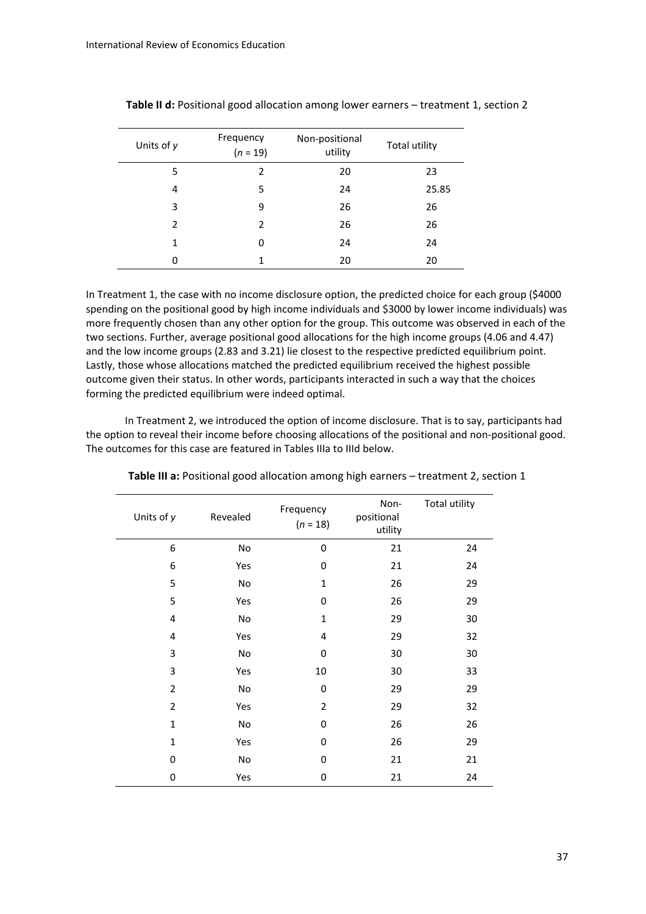| Units of $y$ | Frequency<br>$(n = 19)$ | Non-positional<br>utility | <b>Total utility</b> |
|--------------|-------------------------|---------------------------|----------------------|
| 5            | 2                       | 20                        | 23                   |
| 4            | 5                       | 24                        | 25.85                |
| 3            | 9                       | 26                        | 26                   |
| 2            | 2                       | 26                        | 26                   |
| 1            | 0                       | 24                        | 24                   |
| 0            | 1                       | 20                        | 20                   |

**Table II d:** Positional good allocation among lower earners – treatment 1, section 2

In Treatment 1, the case with no income disclosure option, the predicted choice for each group (\$4000 spending on the positional good by high income individuals and \$3000 by lower income individuals) was more frequently chosen than any other option for the group. This outcome was observed in each of the two sections. Further, average positional good allocations for the high income groups (4.06 and 4.47) and the low income groups (2.83 and 3.21) lie closest to the respective predicted equilibrium point. Lastly, those whose allocations matched the predicted equilibrium received the highest possible outcome given their status. In other words, participants interacted in such a way that the choices forming the predicted equilibrium were indeed optimal.

In Treatment 2, we introduced the option of income disclosure. That is to say, participants had the option to reveal their income before choosing allocations of the positional and non‐positional good. The outcomes for this case are featured in Tables IIIa to IIId below.

| Units of $y$   | Revealed | Frequency<br>$(n = 18)$ | Non-<br>positional<br>utility | <b>Total utility</b> |
|----------------|----------|-------------------------|-------------------------------|----------------------|
| 6              | No       | 0                       | 21                            | 24                   |
| 6              | Yes      | 0                       | 21                            | 24                   |
| 5              | No       | $\mathbf{1}$            | 26                            | 29                   |
| 5              | Yes      | 0                       | 26                            | 29                   |
| 4              | No       | $\mathbf{1}$            | 29                            | 30                   |
| 4              | Yes      | 4                       | 29                            | 32                   |
| 3              | No       | 0                       | 30                            | 30                   |
| 3              | Yes      | 10                      | 30                            | 33                   |
| $\overline{2}$ | No       | 0                       | 29                            | 29                   |
| $\overline{2}$ | Yes      | $\overline{2}$          | 29                            | 32                   |
| $\mathbf{1}$   | No       | 0                       | 26                            | 26                   |
| $\mathbf{1}$   | Yes      | 0                       | 26                            | 29                   |
| 0              | No       | 0                       | 21                            | 21                   |
| 0              | Yes      | 0                       | 21                            | 24                   |

**Table III a:** Positional good allocation among high earners – treatment 2, section 1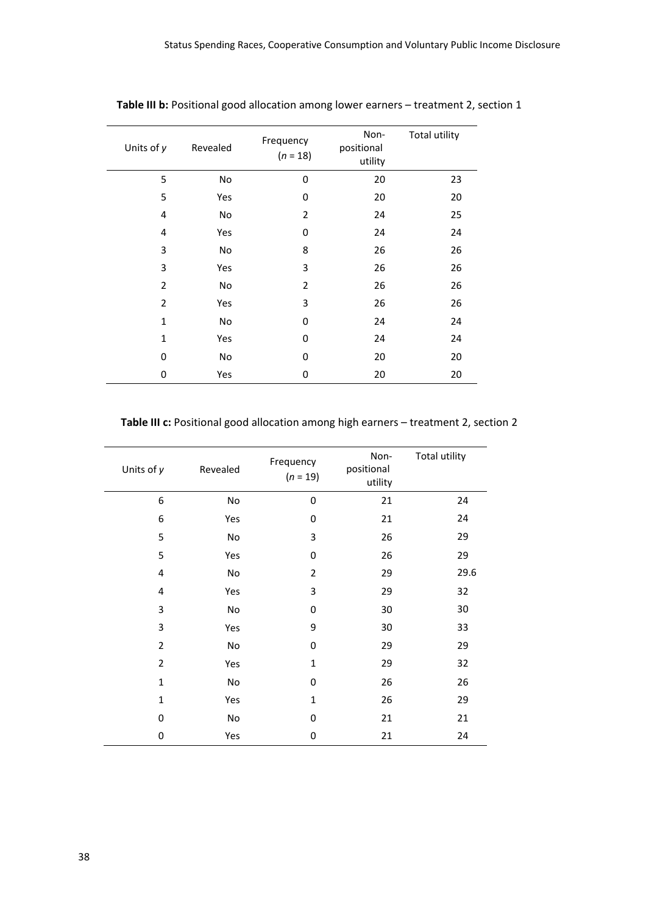| Units of $y$   | Revealed | Frequency<br>$(n = 18)$ | Non-<br>positional<br>utility | Total utility |
|----------------|----------|-------------------------|-------------------------------|---------------|
| 5              | No       | 0                       | 20                            | 23            |
| 5              | Yes      | 0                       | 20                            | 20            |
| 4              | No       | $\overline{2}$          | 24                            | 25            |
| 4              | Yes      | 0                       | 24                            | 24            |
| 3              | No       | 8                       | 26                            | 26            |
| 3              | Yes      | 3                       | 26                            | 26            |
| $\overline{2}$ | No       | 2                       | 26                            | 26            |
| $\overline{2}$ | Yes      | 3                       | 26                            | 26            |
| $\mathbf{1}$   | No       | 0                       | 24                            | 24            |
| $\mathbf{1}$   | Yes      | 0                       | 24                            | 24            |
| 0              | No       | 0                       | 20                            | 20            |
| 0              | Yes      | 0                       | 20                            | 20            |

**Table III b:** Positional good allocation among lower earners – treatment 2, section 1

# **Table III c:** Positional good allocation among high earners – treatment 2, section 2

| Units of $y$   | Revealed | Frequency<br>$(n = 19)$ | Non-<br>positional<br>utility | Total utility |
|----------------|----------|-------------------------|-------------------------------|---------------|
| 6              | No       | 0                       | 21                            | 24            |
| 6              | Yes      | $\mathbf 0$             | 21                            | 24            |
| 5              | No       | 3                       | 26                            | 29            |
| 5              | Yes      | 0                       | 26                            | 29            |
| 4              | No       | $\overline{2}$          | 29                            | 29.6          |
| 4              | Yes      | 3                       | 29                            | 32            |
| 3              | No       | $\mathbf{0}$            | 30                            | 30            |
| 3              | Yes      | 9                       | 30                            | 33            |
| $\overline{2}$ | No       | $\mathbf 0$             | 29                            | 29            |
| $\overline{2}$ | Yes      | $\mathbf 1$             | 29                            | 32            |
| $\mathbf{1}$   | No       | $\mathbf{0}$            | 26                            | 26            |
| $\mathbf{1}$   | Yes      | $\mathbf 1$             | 26                            | 29            |
| 0              | No       | 0                       | 21                            | 21            |
| 0              | Yes      | 0                       | 21                            | 24            |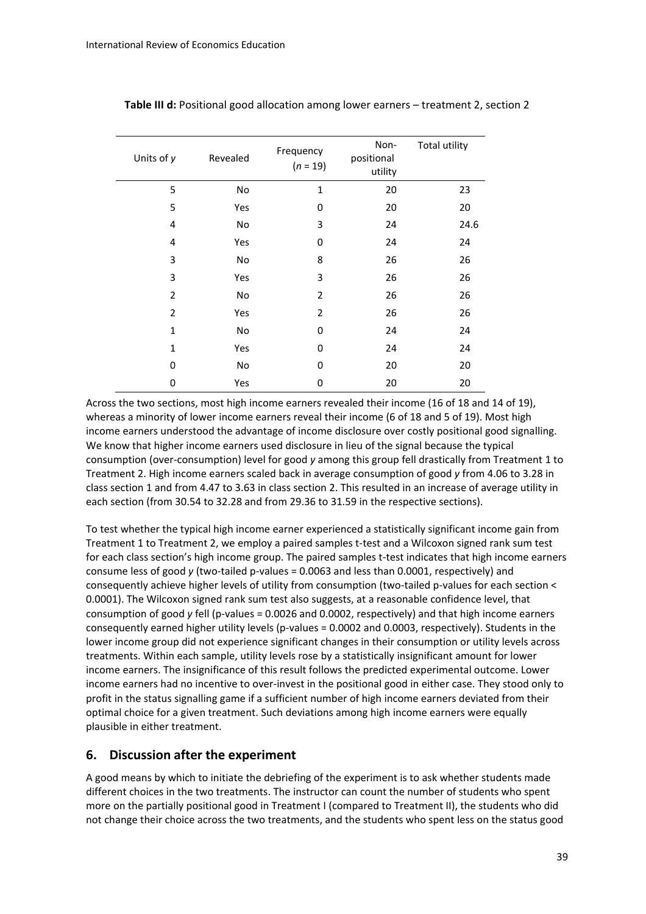| Units of y     | Revealed | Frequency<br>$(n = 19)$ | Non-<br>positional<br>utility | <b>Total utility</b> |
|----------------|----------|-------------------------|-------------------------------|----------------------|
| 5              | No       | $\mathbf{1}$            | 20                            | 23                   |
| 5              | Yes      | $\Omega$                | 20                            | 20                   |
| 4              | No       | 3                       | 24                            | 24.6                 |
| 4              | Yes      | 0                       | 24                            | 24                   |
| 3              | No       | 8                       | 26                            | 26                   |
| 3              | Yes      | 3                       | 26                            | 26                   |
| $\overline{2}$ | No       | 2                       | 26                            | 26                   |
| 2              | Yes      | 2                       | 26                            | 26                   |
| $\mathbf{1}$   | No       | $\Omega$                | 24                            | 24                   |
| 1              | Yes      | 0                       | 24                            | 24                   |
| 0              | No       | 0                       | 20                            | 20                   |
| 0              | Yes      | 0                       | 20                            | 20                   |

**Table III d:** Positional good allocation among lower earners – treatment 2, section 2

Across the two sections, most high income earners revealed their income (16 of 18 and 14 of 19), whereas a minority of lower income earners reveal their income (6 of 18 and 5 of 19). Most high income earners understood the advantage of income disclosure over costly positional good signalling. We know that higher income earners used disclosure in lieu of the signal because the typical consumption (over‐consumption) level for good *y* among this group fell drastically from Treatment 1 to Treatment 2. High income earners scaled back in average consumption of good *y* from 4.06 to 3.28 in class section 1 and from 4.47 to 3.63 in class section 2. This resulted in an increase of average utility in each section (from 30.54 to 32.28 and from 29.36 to 31.59 in the respective sections).

To test whether the typical high income earner experienced a statistically significant income gain from Treatment 1 to Treatment 2, we employ a paired samples t‐test and a Wilcoxon signed rank sum test for each class section's high income group. The paired samples t-test indicates that high income earners consume less of good *y* (two‐tailed p‐values = 0.0063 and less than 0.0001, respectively) and consequently achieve higher levels of utility from consumption (two-tailed p-values for each section < 0.0001). The Wilcoxon signed rank sum test also suggests, at a reasonable confidence level, that consumption of good y fell (p-values = 0.0026 and 0.0002, respectively) and that high income earners consequently earned higher utility levels (p‐values = 0.0002 and 0.0003, respectively). Students in the lower income group did not experience significant changes in their consumption or utility levels across treatments. Within each sample, utility levels rose by a statistically insignificant amount for lower income earners. The insignificance of this result follows the predicted experimental outcome. Lower income earners had no incentive to over‐invest in the positional good in either case. They stood only to profit in the status signalling game if a sufficient number of high income earners deviated from their optimal choice for a given treatment. Such deviations among high income earners were equally plausible in either treatment.

# **6. Discussion after the experiment**

A good means by which to initiate the debriefing of the experiment is to ask whether students made different choices in the two treatments. The instructor can count the number of students who spent more on the partially positional good in Treatment I (compared to Treatment II), the students who did not change their choice across the two treatments, and the students who spent less on the status good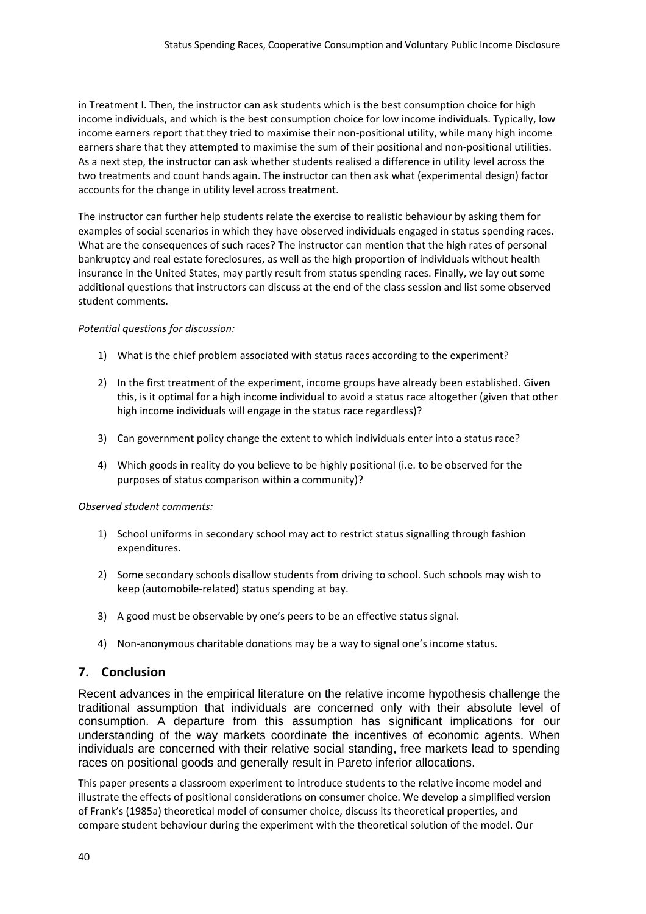in Treatment I. Then, the instructor can ask students which is the best consumption choice for high income individuals, and which is the best consumption choice for low income individuals. Typically, low income earners report that they tried to maximise their non‐positional utility, while many high income earners share that they attempted to maximise the sum of their positional and non-positional utilities. As a next step, the instructor can ask whether students realised a difference in utility level across the two treatments and count hands again. The instructor can then ask what (experimental design) factor accounts for the change in utility level across treatment.

The instructor can further help students relate the exercise to realistic behaviour by asking them for examples of social scenarios in which they have observed individuals engaged in status spending races. What are the consequences of such races? The instructor can mention that the high rates of personal bankruptcy and real estate foreclosures, as well as the high proportion of individuals without health insurance in the United States, may partly result from status spending races. Finally, we lay out some additional questions that instructors can discuss at the end of the class session and list some observed student comments.

#### *Potential questions for discussion:*

- 1) What is the chief problem associated with status races according to the experiment?
- 2) In the first treatment of the experiment, income groups have already been established. Given this, is it optimal for a high income individual to avoid a status race altogether (given that other high income individuals will engage in the status race regardless)?
- 3) Can government policy change the extent to which individuals enter into a status race?
- 4) Which goods in reality do you believe to be highly positional (i.e. to be observed for the purposes of status comparison within a community)?

#### *Observed student comments:*

- 1) School uniforms in secondary school may act to restrict status signalling through fashion expenditures.
- 2) Some secondary schools disallow students from driving to school. Such schools may wish to keep (automobile‐related) status spending at bay.
- 3) A good must be observable by one's peers to be an effective status signal.
- 4) Non-anonymous charitable donations may be a way to signal one's income status.

#### **7. Conclusion**

Recent advances in the empirical literature on the relative income hypothesis challenge the traditional assumption that individuals are concerned only with their absolute level of consumption. A departure from this assumption has significant implications for our understanding of the way markets coordinate the incentives of economic agents. When individuals are concerned with their relative social standing, free markets lead to spending races on positional goods and generally result in Pareto inferior allocations.

This paper presents a classroom experiment to introduce students to the relative income model and illustrate the effects of positional considerations on consumer choice. We develop a simplified version of Frank's (1985a) theoretical model of consumer choice, discuss its theoretical properties, and compare student behaviour during the experiment with the theoretical solution of the model. Our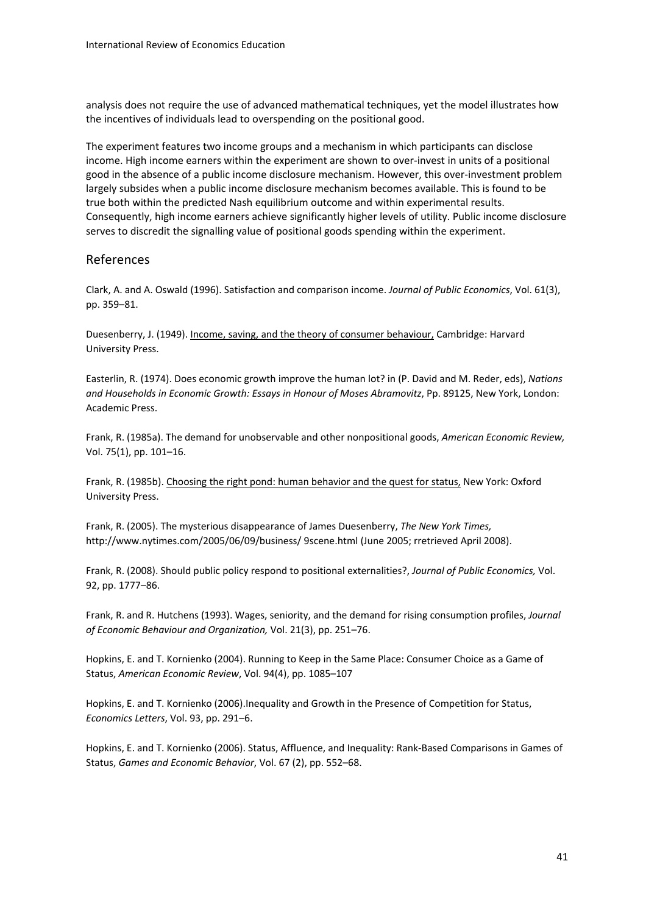analysis does not require the use of advanced mathematical techniques, yet the model illustrates how the incentives of individuals lead to overspending on the positional good.

The experiment features two income groups and a mechanism in which participants can disclose income. High income earners within the experiment are shown to over-invest in units of a positional good in the absence of a public income disclosure mechanism. However, this over-investment problem largely subsides when a public income disclosure mechanism becomes available. This is found to be true both within the predicted Nash equilibrium outcome and within experimental results. Consequently, high income earners achieve significantly higher levels of utility. Public income disclosure serves to discredit the signalling value of positional goods spending within the experiment.

#### References

Clark, A. and A. Oswald (1996). Satisfaction and comparison income. *Journal of Public Economics*, Vol. 61(3), pp. 359–81.

Duesenberry, J. (1949). Income, saving, and the theory of consumer behaviour, Cambridge: Harvard University Press.

Easterlin, R. (1974). Does economic growth improve the human lot? in (P. David and M. Reder, eds), *Nations and Households in Economic Growth: Essays in Honour of Moses Abramovitz*, Pp. 89125, New York, London: Academic Press.

Frank, R. (1985a). The demand for unobservable and other nonpositional goods, *American Economic Review,* Vol. 75(1), pp. 101–16.

Frank, R. (1985b). Choosing the right pond: human behavior and the quest for status, New York: Oxford University Press.

Frank, R. (2005). The mysterious disappearance of James Duesenberry, *The New York Times,* http://www.nytimes.com/2005/06/09/business/ 9scene.html (June 2005; rretrieved April 2008).

Frank, R. (2008). Should public policy respond to positional externalities?, *Journal of Public Economics,* Vol. 92, pp. 1777–86.

Frank, R. and R. Hutchens (1993). Wages, seniority, and the demand for rising consumption profiles, *Journal of Economic Behaviour and Organization,* Vol. 21(3), pp. 251–76.

Hopkins, E. and T. Kornienko (2004). Running to Keep in the Same Place: Consumer Choice as a Game of Status, *American Economic Review*, Vol. 94(4), pp. 1085–107

Hopkins, E. and T. Kornienko (2006).Inequality and Growth in the Presence of Competition for Status, *Economics Letters*, Vol. 93, pp. 291–6.

Hopkins, E. and T. Kornienko (2006). Status, Affluence, and Inequality: Rank‐Based Comparisons in Games of Status, *Games and Economic Behavior*, Vol. 67 (2), pp. 552–68.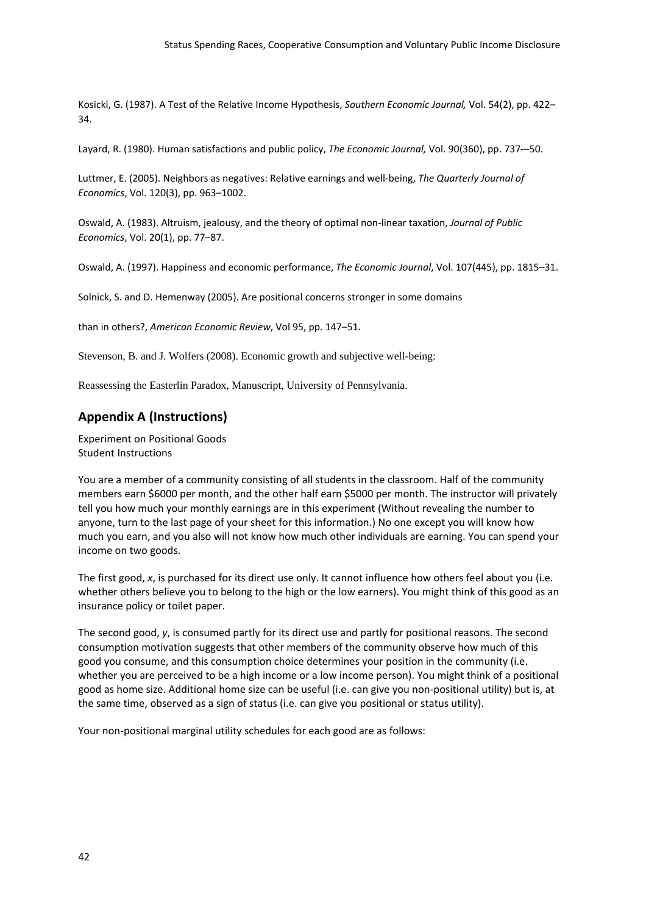Kosicki, G. (1987). A Test of the Relative Income Hypothesis, *Southern Economic Journal,* Vol. 54(2), pp. 422– 34.

Layard, R. (1980). Human satisfactions and public policy, *The Economic Journal,* Vol. 90(360), pp. 737‐–50.

Luttmer, E. (2005). Neighbors as negatives: Relative earnings and well‐being, *The Quarterly Journal of Economics*, Vol. 120(3), pp. 963–1002.

Oswald, A. (1983). Altruism, jealousy, and the theory of optimal non‐linear taxation, *Journal of Public Economics*, Vol. 20(1), pp. 77–87.

Oswald, A. (1997). Happiness and economic performance, *The Economic Journal*, Vol. 107(445), pp. 1815–31.

Solnick, S. and D. Hemenway (2005). Are positional concerns stronger in some domains

than in others?, *American Economic Review*, Vol 95, pp. 147–51.

Stevenson, B. and J. Wolfers (2008). Economic growth and subjective well-being:

Reassessing the Easterlin Paradox, Manuscript, University of Pennsylvania.

#### **Appendix A (Instructions)**

Experiment on Positional Goods Student Instructions

You are a member of a community consisting of all students in the classroom. Half of the community members earn \$6000 per month, and the other half earn \$5000 per month. The instructor will privately tell you how much your monthly earnings are in this experiment (Without revealing the number to anyone, turn to the last page of your sheet for this information.) No one except you will know how much you earn, and you also will not know how much other individuals are earning. You can spend your income on two goods.

The first good, *x*, is purchased for its direct use only. It cannot influence how others feel about you (i.e. whether others believe you to belong to the high or the low earners). You might think of this good as an insurance policy or toilet paper.

The second good, *y*, is consumed partly for its direct use and partly for positional reasons. The second consumption motivation suggests that other members of the community observe how much of this good you consume, and this consumption choice determines your position in the community (i.e. whether you are perceived to be a high income or a low income person). You might think of a positional good as home size. Additional home size can be useful (i.e. can give you non-positional utility) but is, at the same time, observed as a sign of status (i.e. can give you positional or status utility).

Your non-positional marginal utility schedules for each good are as follows: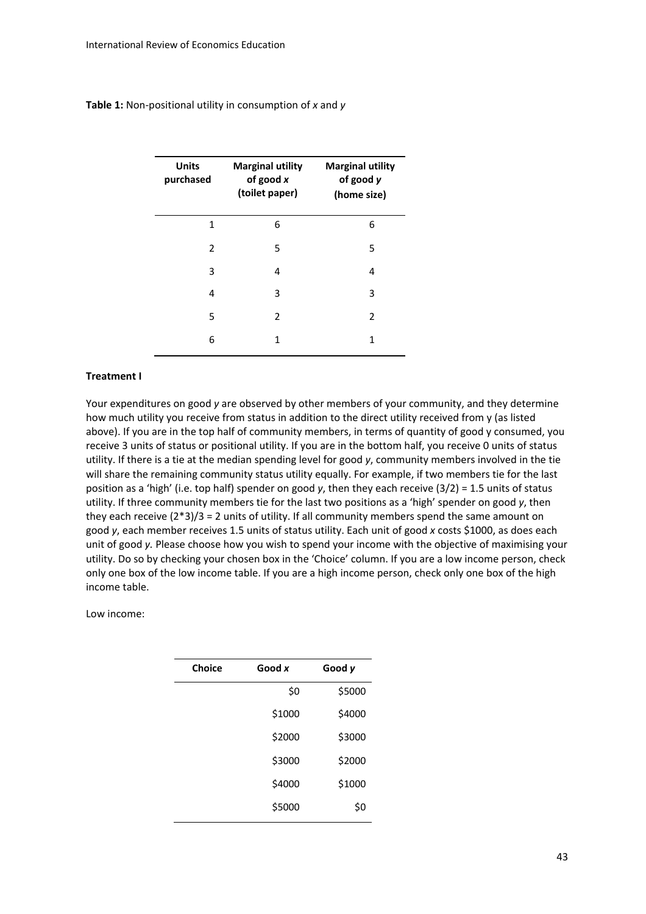**Table 1:** Non‐positional utility in consumption of *x* and *y*

| <b>Units</b><br>purchased | <b>Marginal utility</b><br>of good $x$<br>(toilet paper) | <b>Marginal utility</b><br>of good y<br>(home size) |
|---------------------------|----------------------------------------------------------|-----------------------------------------------------|
| 1                         | 6                                                        | 6                                                   |
| 2                         | 5                                                        | 5                                                   |
| 3                         | 4                                                        | 4                                                   |
| 4                         | 3                                                        | 3                                                   |
| 5                         | 2                                                        | 2                                                   |
| 6                         | 1                                                        | 1                                                   |

#### **Treatment I**

Your expenditures on good *y* are observed by other members of your community, and they determine how much utility you receive from status in addition to the direct utility received from y (as listed above). If you are in the top half of community members, in terms of quantity of good y consumed, you receive 3 units of status or positional utility. If you are in the bottom half, you receive 0 units of status utility. If there is a tie at the median spending level for good *y*, community members involved in the tie will share the remaining community status utility equally. For example, if two members tie for the last position as a 'high' (i.e. top half) spender on good *y*, then they each receive (3/2) = 1.5 units of status utility. If three community members tie for the last two positions as a 'high' spender on good *y*, then they each receive  $(2^*3)/3 = 2$  units of utility. If all community members spend the same amount on good *y*, each member receives 1.5 units of status utility. Each unit of good *x* costs \$1000, as does each unit of good *y.* Please choose how you wish to spend your income with the objective of maximising your utility. Do so by checking your chosen box in the 'Choice' column. If you are a low income person, check only one box of the low income table. If you are a high income person, check only one box of the high income table.

Low income:

| <b>Choice</b> | Good x | Good y |
|---------------|--------|--------|
|               | \$0    | \$5000 |
|               | \$1000 | \$4000 |
|               | \$2000 | \$3000 |
|               | \$3000 | \$2000 |
|               | \$4000 | \$1000 |
|               | \$5000 | \$0    |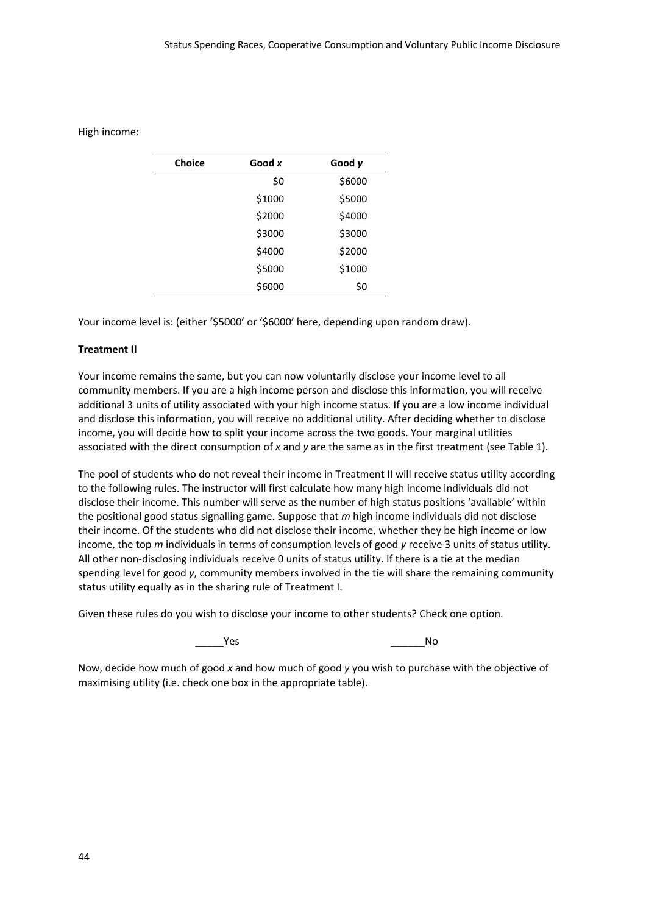High income:

| <b>Choice</b> | Good x | Good y |
|---------------|--------|--------|
|               | \$0    | \$6000 |
|               | \$1000 | \$5000 |
|               | \$2000 | \$4000 |
|               | \$3000 | \$3000 |
|               | \$4000 | \$2000 |
|               | \$5000 | \$1000 |
|               | \$6000 | \$0    |

Your income level is: (either '\$5000' or '\$6000' here, depending upon random draw).

#### **Treatment II**

Your income remains the same, but you can now voluntarily disclose your income level to all community members. If you are a high income person and disclose this information, you will receive additional 3 units of utility associated with your high income status. If you are a low income individual and disclose this information, you will receive no additional utility. After deciding whether to disclose income, you will decide how to split your income across the two goods. Your marginal utilities associated with the direct consumption of *x* and *y* are the same as in the first treatment (see Table 1).

The pool of students who do not reveal their income in Treatment II will receive status utility according to the following rules. The instructor will first calculate how many high income individuals did not disclose their income. This number will serve as the number of high status positions 'available' within the positional good status signalling game. Suppose that *m* high income individuals did not disclose their income. Of the students who did not disclose their income, whether they be high income or low income, the top *m* individuals in terms of consumption levels of good *y* receive 3 units of status utility. All other non‐disclosing individuals receive 0 units of status utility. If there is a tie at the median spending level for good *y*, community members involved in the tie will share the remaining community status utility equally as in the sharing rule of Treatment I.

Given these rules do you wish to disclose your income to other students? Check one option.

\_\_\_\_\_Yes \_\_\_\_\_\_No

Now, decide how much of good *x* and how much of good *y* you wish to purchase with the objective of maximising utility (i.e. check one box in the appropriate table).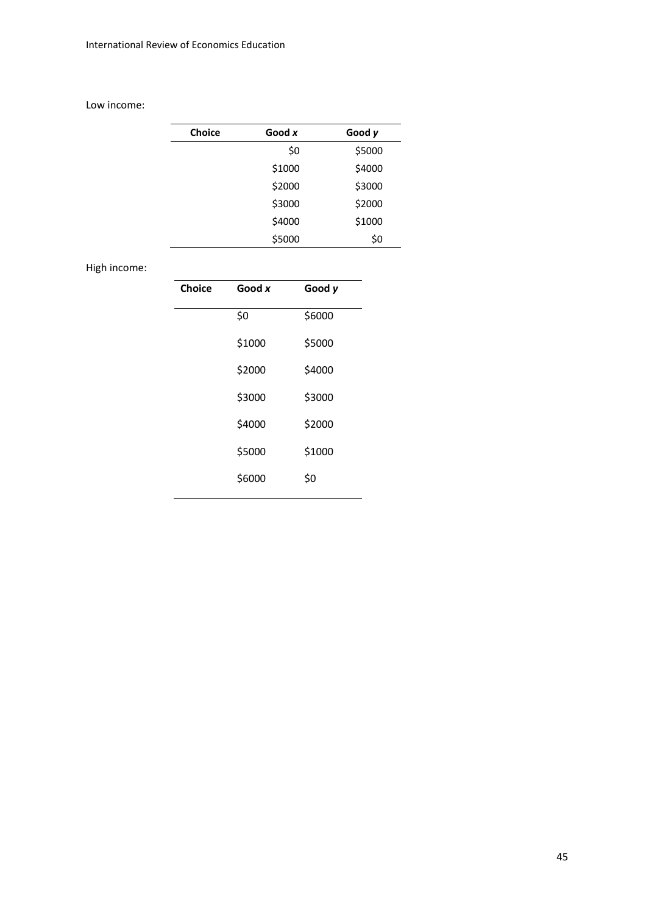#### Low income:

| <b>Choice</b> | Good x | Good y |
|---------------|--------|--------|
|               | \$0    | \$5000 |
|               | \$1000 | \$4000 |
|               | \$2000 | \$3000 |
|               | \$3000 | \$2000 |
|               | \$4000 | \$1000 |
|               | \$5000 | \$0    |
|               |        |        |

# High income:

| <b>Choice</b> | Good x | Good y |
|---------------|--------|--------|
|               | \$0    | \$6000 |
|               | \$1000 | \$5000 |
|               | \$2000 | \$4000 |
|               | \$3000 | \$3000 |
|               | \$4000 | \$2000 |
|               | \$5000 | \$1000 |
|               | \$6000 | \$0    |
|               |        |        |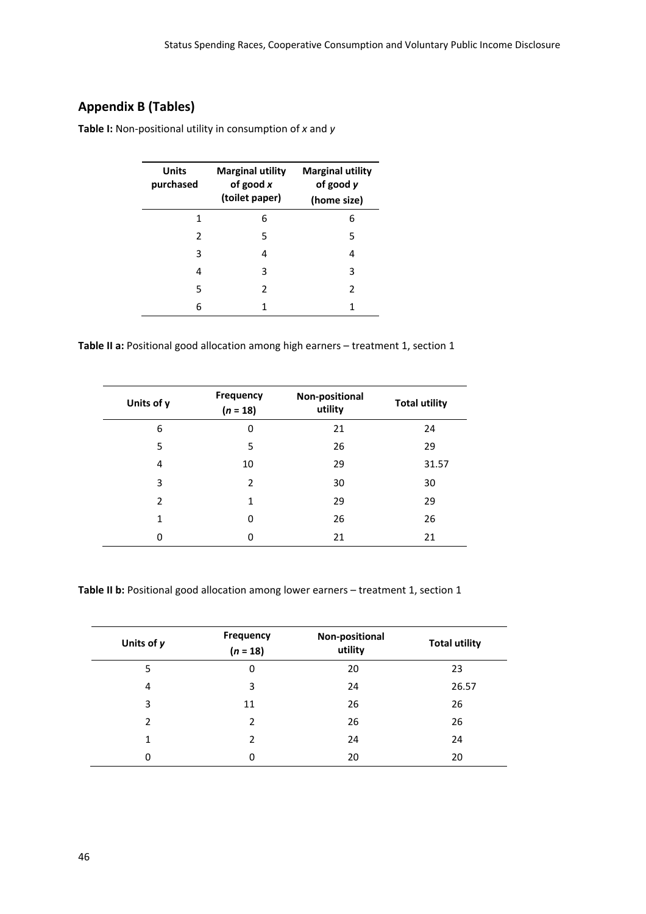# **Appendix B (Tables)**

**Table I:** Non‐positional utility in consumption of *x* and *y*

| <b>Units</b><br>purchased | <b>Marginal utility</b><br>of good $x$<br>(toilet paper) | <b>Marginal utility</b><br>of good y<br>(home size) |
|---------------------------|----------------------------------------------------------|-----------------------------------------------------|
| 1                         | 6                                                        | 6                                                   |
| $\mathcal{P}$             | 5                                                        | 5                                                   |
| 3                         | 4                                                        | 4                                                   |
| 4                         | 3                                                        | 3                                                   |
| 5                         | 2                                                        | 2                                                   |
| 6                         | 1                                                        | 1                                                   |

**Table II a:** Positional good allocation among high earners – treatment 1, section 1

| Units of y     | <b>Frequency</b><br>$(n = 18)$ | Non-positional<br>utility | <b>Total utility</b> |
|----------------|--------------------------------|---------------------------|----------------------|
| 6              | 0                              | 21                        | 24                   |
| 5              | 5                              | 26                        | 29                   |
| 4              | 10                             | 29                        | 31.57                |
| 3              | 2                              | 30                        | 30                   |
| $\overline{2}$ | $\mathbf{1}$                   | 29                        | 29                   |
| 1              | 0                              | 26                        | 26                   |
| 0              | 0                              | 21                        | 21                   |

**Table II b:** Positional good allocation among lower earners – treatment 1, section 1

| Units of $y$ | <b>Frequency</b><br>$(n = 18)$ | Non-positional<br>utility | <b>Total utility</b> |
|--------------|--------------------------------|---------------------------|----------------------|
| 5            | 0                              | 20                        | 23                   |
| 4            | 3                              | 24                        | 26.57                |
| 3            | 11                             | 26                        | 26                   |
| 2            | 2                              | 26                        | 26                   |
| 1            | $\overline{2}$                 | 24                        | 24                   |
| 0            | 0                              | 20                        | 20                   |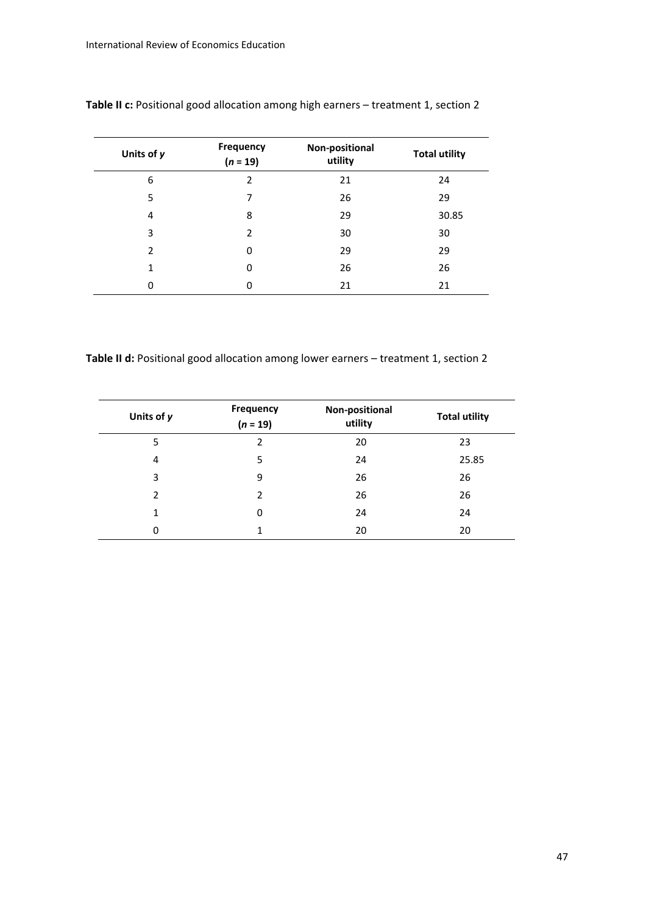| Units of y    | <b>Frequency</b><br>$(n = 19)$ | Non-positional<br>utility | <b>Total utility</b> |
|---------------|--------------------------------|---------------------------|----------------------|
| 6             | 2                              | 21                        | 24                   |
| 5             | 7                              | 26                        | 29                   |
| 4             | 8                              | 29                        | 30.85                |
| 3             | 2                              | 30                        | 30                   |
| $\mathcal{P}$ | 0                              | 29                        | 29                   |
| 1             | 0                              | 26                        | 26                   |
| 0             | 0                              | 21                        | 21                   |

**Table II c:** Positional good allocation among high earners – treatment 1, section 2

**Table II d:** Positional good allocation among lower earners – treatment 1, section 2

| Units of $y$  | <b>Frequency</b><br>$(n = 19)$ | Non-positional<br>utility | <b>Total utility</b> |
|---------------|--------------------------------|---------------------------|----------------------|
| 5             | 2                              | 20                        | 23                   |
| 4             | 5                              | 24                        | 25.85                |
| 3             | 9                              | 26                        | 26                   |
| $\mathcal{P}$ | $\overline{2}$                 | 26                        | 26                   |
| 1             | 0                              | 24                        | 24                   |
| 0             | 1                              | 20                        | 20                   |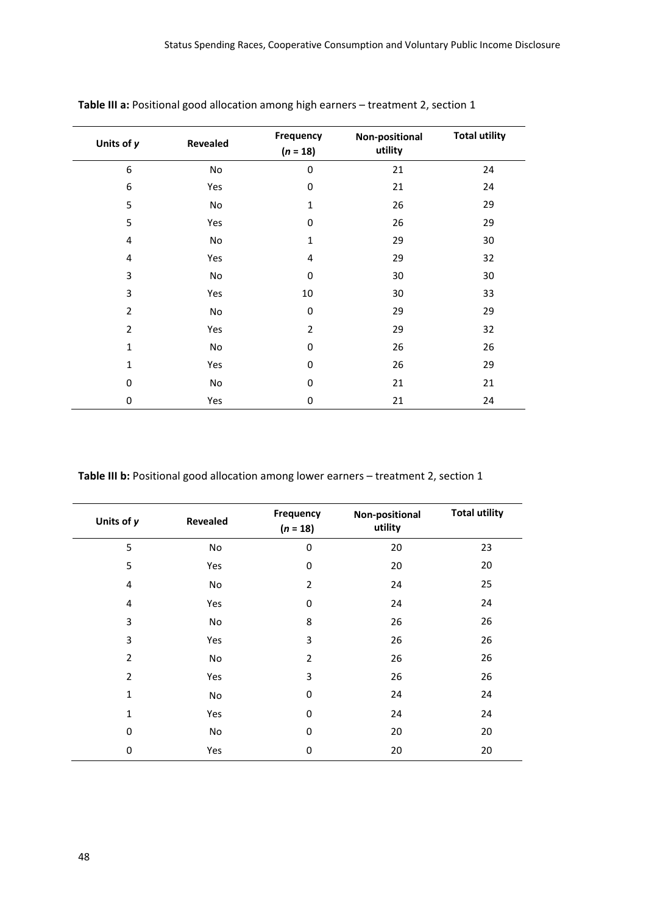| Units of $y$   | Revealed | Frequency<br>$(n = 18)$ | Non-positional<br>utility | <b>Total utility</b> |
|----------------|----------|-------------------------|---------------------------|----------------------|
| 6              | No       | 0                       | 21                        | 24                   |
| 6              | Yes      | 0                       | 21                        | 24                   |
| 5              | No       | $\mathbf{1}$            | 26                        | 29                   |
| 5              | Yes      | 0                       | 26                        | 29                   |
| 4              | No       | $\mathbf{1}$            | 29                        | 30                   |
| 4              | Yes      | 4                       | 29                        | 32                   |
| 3              | No       | 0                       | 30                        | 30                   |
| 3              | Yes      | 10                      | 30                        | 33                   |
| $\overline{2}$ | No       | 0                       | 29                        | 29                   |
| $\overline{2}$ | Yes      | $\overline{2}$          | 29                        | 32                   |
| $\mathbf{1}$   | No       | 0                       | 26                        | 26                   |
| 1              | Yes      | 0                       | 26                        | 29                   |
| $\mathbf 0$    | No       | $\mathbf 0$             | 21                        | 21                   |
| 0              | Yes      | 0                       | 21                        | 24                   |

**Table III a:** Positional good allocation among high earners – treatment 2, section 1

**Table III b:** Positional good allocation among lower earners – treatment 2, section 1

| Units of y     | Revealed | Frequency<br>$(n = 18)$ | Non-positional<br>utility | <b>Total utility</b> |
|----------------|----------|-------------------------|---------------------------|----------------------|
| 5              | No       | $\mathbf 0$             | 20                        | 23                   |
| 5              | Yes      | $\mathbf 0$             | 20                        | 20                   |
| 4              | No       | $\overline{2}$          | 24                        | 25                   |
| 4              | Yes      | $\mathbf 0$             | 24                        | 24                   |
| 3              | No       | 8                       | 26                        | 26                   |
| 3              | Yes      | 3                       | 26                        | 26                   |
| 2              | No       | $\overline{2}$          | 26                        | 26                   |
| $\overline{2}$ | Yes      | 3                       | 26                        | 26                   |
| $\mathbf{1}$   | No       | 0                       | 24                        | 24                   |
| $\mathbf{1}$   | Yes      | $\Omega$                | 24                        | 24                   |
| $\Omega$       | No       | 0                       | 20                        | 20                   |
| 0              | Yes      | 0                       | 20                        | 20                   |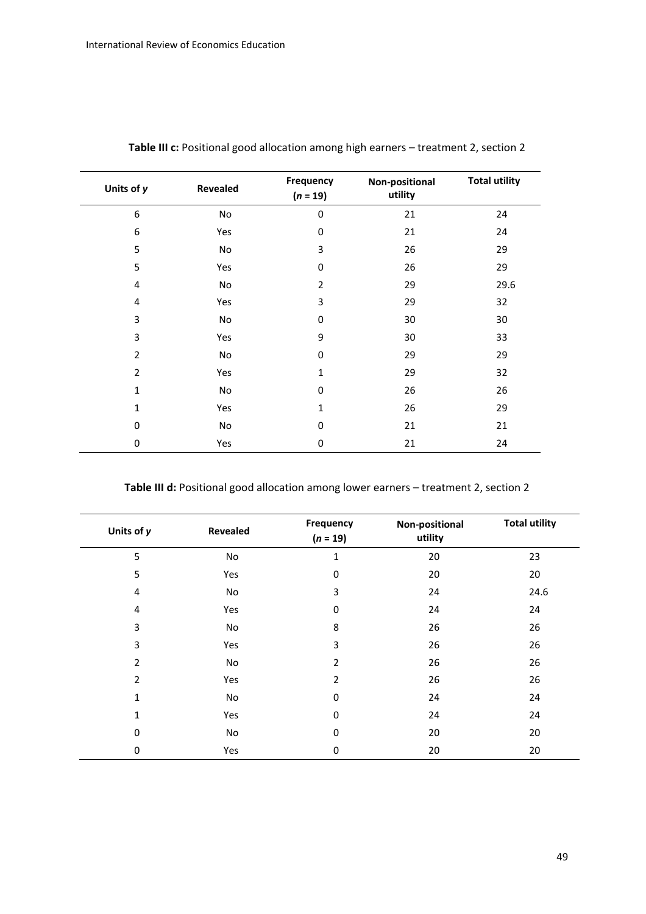| Units of y     | Revealed | Frequency<br>$(n = 19)$ | Non-positional<br>utility | <b>Total utility</b> |
|----------------|----------|-------------------------|---------------------------|----------------------|
| 6              | No       | $\mathbf 0$             | 21                        | 24                   |
| 6              | Yes      | 0                       | 21                        | 24                   |
| 5              | No       | 3                       | 26                        | 29                   |
| 5              | Yes      | $\boldsymbol{0}$        | 26                        | 29                   |
| 4              | No       | $\overline{2}$          | 29                        | 29.6                 |
| 4              | Yes      | 3                       | 29                        | 32                   |
| 3              | No       | $\bf{0}$                | 30                        | 30                   |
| 3              | Yes      | 9                       | 30                        | 33                   |
| $\overline{2}$ | No       | $\mathbf 0$             | 29                        | 29                   |
| $\overline{2}$ | Yes      | $\mathbf{1}$            | 29                        | 32                   |
| $\mathbf{1}$   | No       | $\mathbf 0$             | 26                        | 26                   |
| 1              | Yes      | 1                       | 26                        | 29                   |
| 0              | No       | $\bf{0}$                | 21                        | 21                   |
| 0              | Yes      | 0                       | 21                        | 24                   |

**Table III c:** Positional good allocation among high earners – treatment 2, section 2

**Table III d:** Positional good allocation among lower earners – treatment 2, section 2

| Units of y     | Revealed | Frequency<br>$(n = 19)$ | Non-positional<br>utility | <b>Total utility</b> |
|----------------|----------|-------------------------|---------------------------|----------------------|
| 5              | No       | 1                       | 20                        | 23                   |
| 5              | Yes      | 0                       | 20                        | 20                   |
| 4              | No       | 3                       | 24                        | 24.6                 |
| 4              | Yes      | 0                       | 24                        | 24                   |
| 3              | No       | 8                       | 26                        | 26                   |
| 3              | Yes      | 3                       | 26                        | 26                   |
| $\overline{2}$ | No       | $\overline{2}$          | 26                        | 26                   |
| $\overline{2}$ | Yes      | 2                       | 26                        | 26                   |
| 1              | No       | $\mathbf 0$             | 24                        | 24                   |
| 1              | Yes      | 0                       | 24                        | 24                   |
| 0              | No       | $\boldsymbol{0}$        | 20                        | 20                   |
| 0              | Yes      | 0                       | 20                        | 20                   |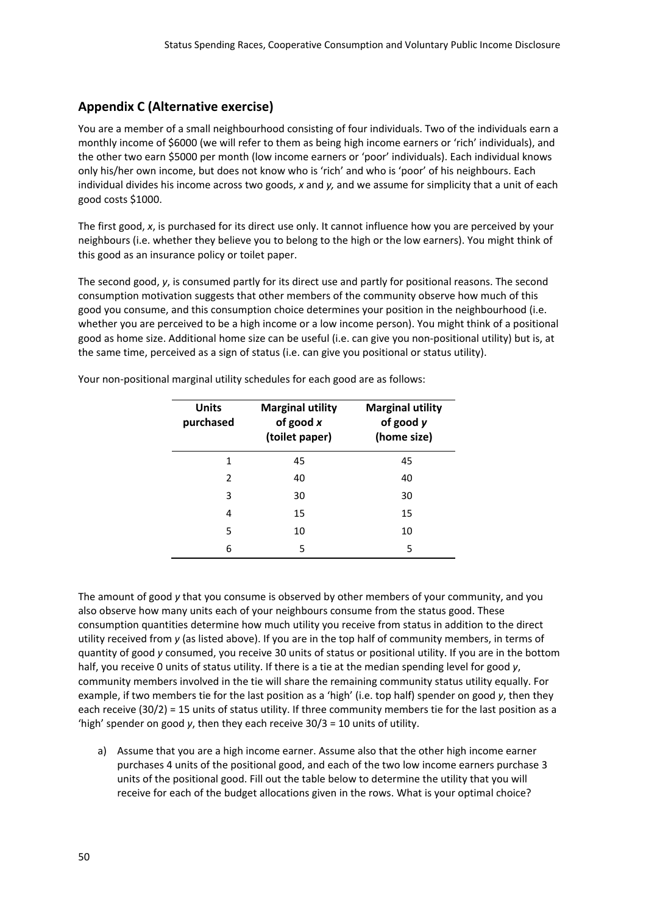# **Appendix C (Alternative exercise)**

You are a member of a small neighbourhood consisting of four individuals. Two of the individuals earn a monthly income of \$6000 (we will refer to them as being high income earners or 'rich' individuals), and the other two earn \$5000 per month (low income earners or 'poor' individuals). Each individual knows only his/her own income, but does not know who is 'rich' and who is 'poor' of his neighbours. Each individual divides his income across two goods, *x* and *y,* and we assume for simplicity that a unit of each good costs \$1000.

The first good, *x*, is purchased for its direct use only. It cannot influence how you are perceived by your neighbours (i.e. whether they believe you to belong to the high or the low earners). You might think of this good as an insurance policy or toilet paper.

The second good, *y*, is consumed partly for its direct use and partly for positional reasons. The second consumption motivation suggests that other members of the community observe how much of this good you consume, and this consumption choice determines your position in the neighbourhood (i.e. whether you are perceived to be a high income or a low income person). You might think of a positional good as home size. Additional home size can be useful (i.e. can give you non-positional utility) but is, at the same time, perceived as a sign of status (i.e. can give you positional or status utility).

| Units<br>purchased | <b>Marginal utility</b><br>of good $x$<br>(toilet paper) | <b>Marginal utility</b><br>of good y<br>(home size) |
|--------------------|----------------------------------------------------------|-----------------------------------------------------|
| 1                  | 45                                                       | 45                                                  |
| $\overline{2}$     | 40                                                       | 40                                                  |
| 3                  | 30                                                       | 30                                                  |
| 4                  | 15                                                       | 15                                                  |
| 5                  | 10                                                       | 10                                                  |
| 6                  | 5                                                        | 5                                                   |

Your non-positional marginal utility schedules for each good are as follows:

The amount of good *y* that you consume is observed by other members of your community, and you also observe how many units each of your neighbours consume from the status good. These consumption quantities determine how much utility you receive from status in addition to the direct utility received from *y* (as listed above). If you are in the top half of community members, in terms of quantity of good *y* consumed, you receive 30 units of status or positional utility. If you are in the bottom half, you receive 0 units of status utility. If there is a tie at the median spending level for good *y*, community members involved in the tie will share the remaining community status utility equally. For example, if two members tie for the last position as a 'high' (i.e. top half) spender on good *y*, then they each receive (30/2) = 15 units of status utility. If three community members tie for the last position as a 'high' spender on good *y*, then they each receive 30/3 = 10 units of utility.

a) Assume that you are a high income earner. Assume also that the other high income earner purchases 4 units of the positional good, and each of the two low income earners purchase 3 units of the positional good. Fill out the table below to determine the utility that you will receive for each of the budget allocations given in the rows. What is your optimal choice?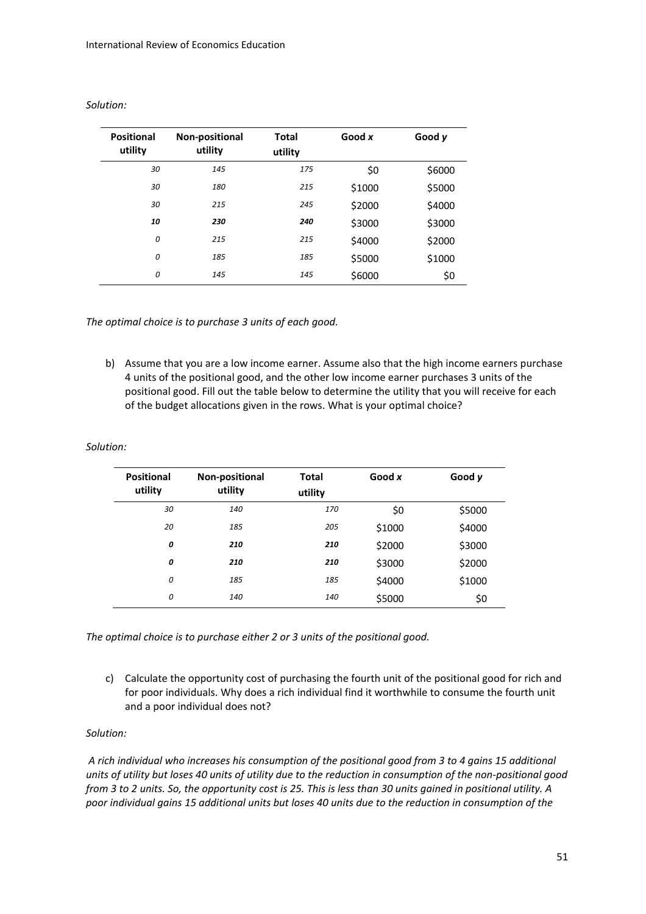| <b>Positional</b><br>utility | Non-positional<br>utility | <b>Total</b><br>utility | Good x | Good y |
|------------------------------|---------------------------|-------------------------|--------|--------|
| 30                           | 145                       | 175                     | \$0    | \$6000 |
| 30                           | 180                       | 215                     | \$1000 | \$5000 |
| 30                           | 215                       | 245                     | \$2000 | \$4000 |
| 10                           | 230                       | 240                     | \$3000 | \$3000 |
| 0                            | 215                       | 215                     | \$4000 | \$2000 |
| 0                            | 185                       | 185                     | \$5000 | \$1000 |
| 0                            | 145                       | 145                     | \$6000 | \$0    |

*Solution:*

*The optimal choice is to purchase 3 units of each good.* 

b) Assume that you are a low income earner. Assume also that the high income earners purchase 4 units of the positional good, and the other low income earner purchases 3 units of the positional good. Fill out the table below to determine the utility that you will receive for each of the budget allocations given in the rows. What is your optimal choice?

#### *Solution:*

| <b>Positional</b><br>utility | <b>Non-positional</b><br>utility | <b>Total</b><br>utility | Good x | Good y |
|------------------------------|----------------------------------|-------------------------|--------|--------|
| 30                           | 140                              | 170                     | \$0    | \$5000 |
| 20                           | 185                              | 205                     | \$1000 | \$4000 |
| 0                            | 210                              | 210                     | \$2000 | \$3000 |
| 0                            | 210                              | 210                     | \$3000 | \$2000 |
| 0                            | 185                              | 185                     | \$4000 | \$1000 |
| 0                            | 140                              | 140                     | \$5000 | \$0    |

*The optimal choice is to purchase either 2 or 3 units of the positional good.* 

c) Calculate the opportunity cost of purchasing the fourth unit of the positional good for rich and for poor individuals. Why does a rich individual find it worthwhile to consume the fourth unit and a poor individual does not?

#### *Solution:*

A rich individual who increases his consumption of the positional good from 3 to 4 gains 15 additional units of utility but loses 40 units of utility due to the reduction in consumption of the non-positional good from 3 to 2 units. So, the opportunity cost is 25. This is less than 30 units gained in positional utility. A poor individual gains 15 additional units but loses 40 units due to the reduction in consumption of the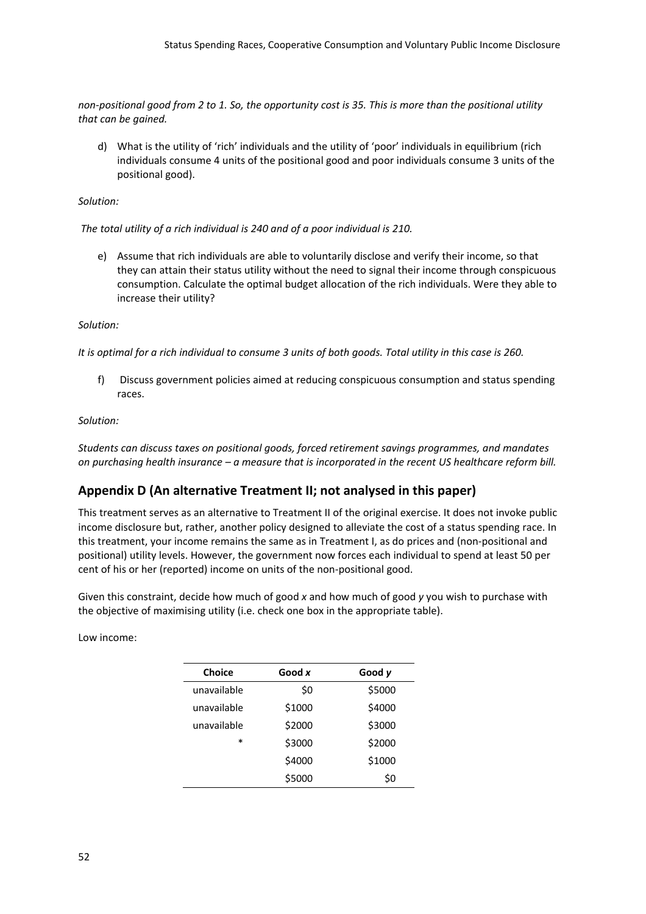non-positional good from 2 to 1. So, the opportunity cost is 35. This is more than the positional utility *that can be gained.*

d) What is the utility of 'rich' individuals and the utility of 'poor' individuals in equilibrium (rich individuals consume 4 units of the positional good and poor individuals consume 3 units of the positional good).

#### *Solution:*

#### *The total utility of a rich individual is 240 and of a poor individual is 210.*

e) Assume that rich individuals are able to voluntarily disclose and verify their income, so that they can attain their status utility without the need to signal their income through conspicuous consumption. Calculate the optimal budget allocation of the rich individuals. Were they able to increase their utility?

#### *Solution:*

It is optimal for a rich individual to consume 3 units of both goods. Total utility in this case is 260.

f) Discuss government policies aimed at reducing conspicuous consumption and status spending races.

#### *Solution:*

*Students can discuss taxes on positional goods, forced retirement savings programmes, and mandates on purchasing health insurance – a measure that is incorporated in the recent US healthcare reform bill.*

#### **Appendix D (An alternative Treatment II; not analysed in this paper)**

This treatment serves as an alternative to Treatment II of the original exercise. It does not invoke public income disclosure but, rather, another policy designed to alleviate the cost of a status spending race. In this treatment, your income remains the same as in Treatment I, as do prices and (non‐positional and positional) utility levels. However, the government now forces each individual to spend at least 50 per cent of his or her (reported) income on units of the non‐positional good.

Given this constraint, decide how much of good *x* and how much of good *y* you wish to purchase with the objective of maximising utility (i.e. check one box in the appropriate table).

Low income:

| Choice      | Good x | Good y |
|-------------|--------|--------|
| unavailable | \$0    | \$5000 |
| unavailable | \$1000 | \$4000 |
| unavailable | \$2000 | \$3000 |
| $\ast$      | \$3000 | \$2000 |
|             | \$4000 | \$1000 |
|             | \$5000 | \$0    |